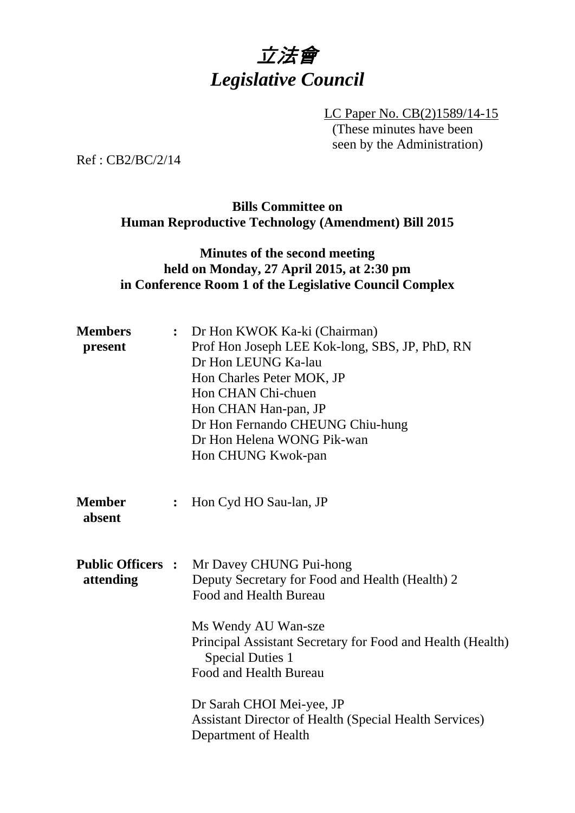

LC Paper No. CB(2)1589/14-15 (These minutes have been seen by the Administration)

Ref : CB2/BC/2/14

#### **Bills Committee on Human Reproductive Technology (Amendment) Bill 2015**

## **Minutes of the second meeting held on Monday, 27 April 2015, at 2:30 pm in Conference Room 1 of the Legislative Council Complex**

| <b>Members</b><br>present             | $\ddot{\bullet}$ | Dr Hon KWOK Ka-ki (Chairman)<br>Prof Hon Joseph LEE Kok-long, SBS, JP, PhD, RN<br>Dr Hon LEUNG Ka-lau<br>Hon Charles Peter MOK, JP<br>Hon CHAN Chi-chuen<br>Hon CHAN Han-pan, JP<br>Dr Hon Fernando CHEUNG Chiu-hung<br>Dr Hon Helena WONG Pik-wan<br>Hon CHUNG Kwok-pan                                                                                             |
|---------------------------------------|------------------|----------------------------------------------------------------------------------------------------------------------------------------------------------------------------------------------------------------------------------------------------------------------------------------------------------------------------------------------------------------------|
| <b>Member</b><br>absent               | $\ddot{\cdot}$   | Hon Cyd HO Sau-lan, JP                                                                                                                                                                                                                                                                                                                                               |
| <b>Public Officers :</b><br>attending |                  | Mr Davey CHUNG Pui-hong<br>Deputy Secretary for Food and Health (Health) 2<br>Food and Health Bureau<br>Ms Wendy AU Wan-sze<br>Principal Assistant Secretary for Food and Health (Health)<br><b>Special Duties 1</b><br>Food and Health Bureau<br>Dr Sarah CHOI Mei-yee, JP<br><b>Assistant Director of Health (Special Health Services)</b><br>Department of Health |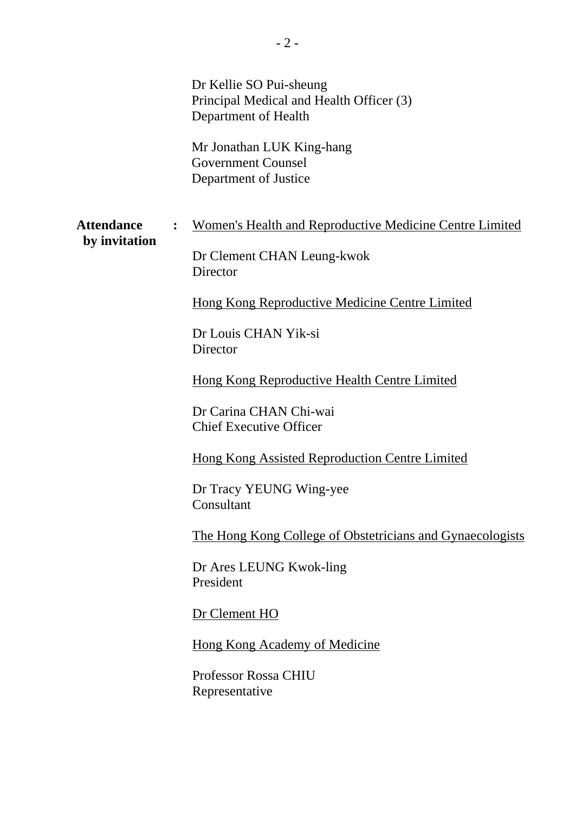|                                    |                | Dr Kellie SO Pui-sheung<br>Principal Medical and Health Officer (3)<br>Department of Health<br>Mr Jonathan LUK King-hang<br><b>Government Counsel</b><br>Department of Justice                                                                                                                                                                                                                                                                                                                                                                                                                                       |
|------------------------------------|----------------|----------------------------------------------------------------------------------------------------------------------------------------------------------------------------------------------------------------------------------------------------------------------------------------------------------------------------------------------------------------------------------------------------------------------------------------------------------------------------------------------------------------------------------------------------------------------------------------------------------------------|
| <b>Attendance</b><br>by invitation | $\ddot{\cdot}$ | Women's Health and Reproductive Medicine Centre Limited<br>Dr Clement CHAN Leung-kwok<br>Director<br>Hong Kong Reproductive Medicine Centre Limited<br>Dr Louis CHAN Yik-si<br>Director<br><b>Hong Kong Reproductive Health Centre Limited</b><br>Dr Carina CHAN Chi-wai<br><b>Chief Executive Officer</b><br><b>Hong Kong Assisted Reproduction Centre Limited</b><br>Dr Tracy YEUNG Wing-yee<br>Consultant<br>The Hong Kong College of Obstetricians and Gynaecologists<br>Dr Ares LEUNG Kwok-ling<br>President<br>Dr Clement HO<br><b>Hong Kong Academy of Medicine</b><br>Professor Rossa CHIU<br>Representative |
|                                    |                |                                                                                                                                                                                                                                                                                                                                                                                                                                                                                                                                                                                                                      |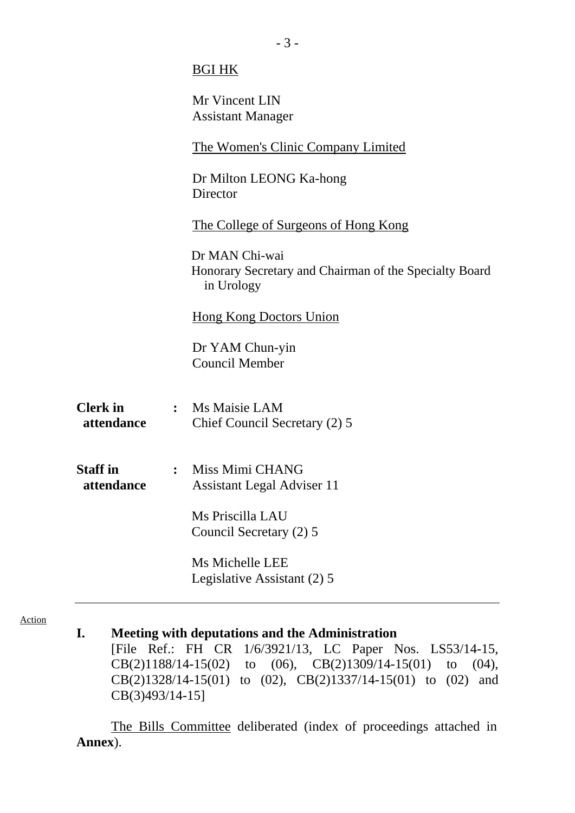|                               |                | <b>BGI HK</b>                                                                          |
|-------------------------------|----------------|----------------------------------------------------------------------------------------|
|                               |                | Mr Vincent LIN<br><b>Assistant Manager</b>                                             |
|                               |                | <b>The Women's Clinic Company Limited</b>                                              |
|                               |                | Dr Milton LEONG Ka-hong<br>Director                                                    |
|                               |                | <u>The College of Surgeons of Hong Kong</u>                                            |
|                               |                | Dr MAN Chi-wai<br>Honorary Secretary and Chairman of the Specialty Board<br>in Urology |
|                               |                | <b>Hong Kong Doctors Union</b>                                                         |
|                               |                | Dr YAM Chun-yin<br><b>Council Member</b>                                               |
| <b>Clerk</b> in<br>attendance |                | : Ms Maisie LAM<br>Chief Council Secretary (2) 5                                       |
| <b>Staff</b> in<br>attendance | $\ddot{\cdot}$ | Miss Mimi CHANG<br><b>Assistant Legal Adviser 11</b>                                   |
|                               |                | Ms Priscilla LAU<br>Council Secretary (2) 5                                            |
|                               |                | Ms Michelle LEE<br>Legislative Assistant (2) 5                                         |
|                               |                |                                                                                        |

Action

## **I. Meeting with deputations and the Administration**

[File Ref.: [FH CR 1/6/3921/13](http://www.legco.gov.hk/yr14-15/english/bills/brief/b201503061_brf.pdf), LC Paper Nos. [LS53/14-15,](http://www.legco.gov.hk/yr14-15/english/hc/papers/hc20150320ls-53-e.pdf) [CB\(2\)1188/14-15\(02\)](http://www.legco.gov.hk/yr14-15/english/bc/bc52/papers/bc5220150409cb2-1188-2-e.pdf) to (06), [CB\(2\)1309/14-15\(01\) to \(04\),](http://www.legco.gov.hk/yr14-15/english/bc/bc52/papers/bc5220150427cb2-1309-4-e.pdf) CB(2)1328/14-15(01) to (02), CB(2)1337/14-15(01) to (02) and [CB\(3\)493/14-15\]](http://www.legco.gov.hk/yr14-15/english/bills/b201503061.pdf)

The Bills Committee deliberated (index of proceedings attached in **Annex**).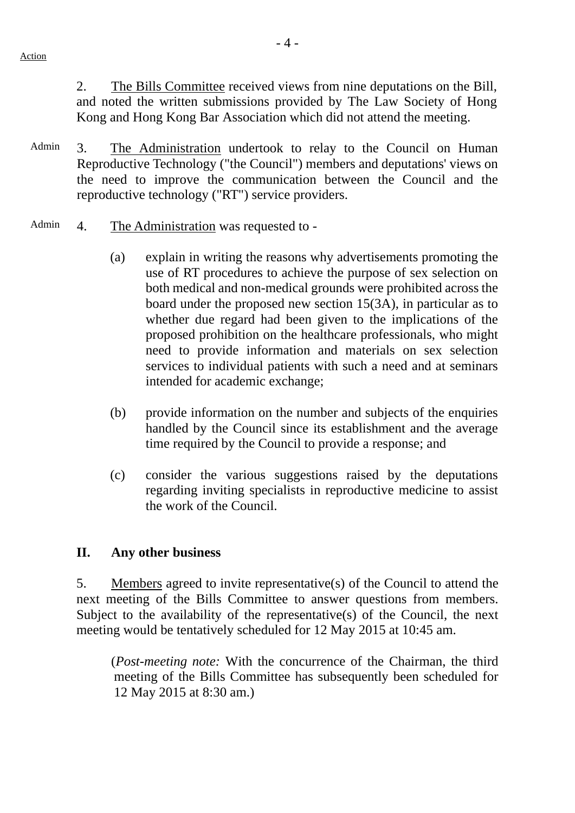2. The Bills Committee received views from nine deputations on the Bill, and noted the written submissions provided by The Law Society of Hong Kong and Hong Kong Bar Association which did not attend the meeting.

- Admin 3. The Administration undertook to relay to the Council on Human Reproductive Technology ("the Council") members and deputations' views on the need to improve the communication between the Council and the reproductive technology ("RT") service providers.
- Admin 4. The Administration was requested to -
	- (a) explain in writing the reasons why advertisements promoting the use of RT procedures to achieve the purpose of sex selection on both medical and non-medical grounds were prohibited across the board under the proposed new section 15(3A), in particular as to whether due regard had been given to the implications of the proposed prohibition on the healthcare professionals, who might need to provide information and materials on sex selection services to individual patients with such a need and at seminars intended for academic exchange;
	- (b) provide information on the number and subjects of the enquiries handled by the Council since its establishment and the average time required by the Council to provide a response; and
	- (c) consider the various suggestions raised by the deputations regarding inviting specialists in reproductive medicine to assist the work of the Council.

#### **II. Any other business**

5. Members agreed to invite representative(s) of the Council to attend the next meeting of the Bills Committee to answer questions from members. Subject to the availability of the representative(s) of the Council, the next meeting would be tentatively scheduled for 12 May 2015 at 10:45 am.

 (*Post-meeting note:* With the concurrence of the Chairman, the third meeting of the Bills Committee has subsequently been scheduled for 12 May 2015 at 8:30 am.)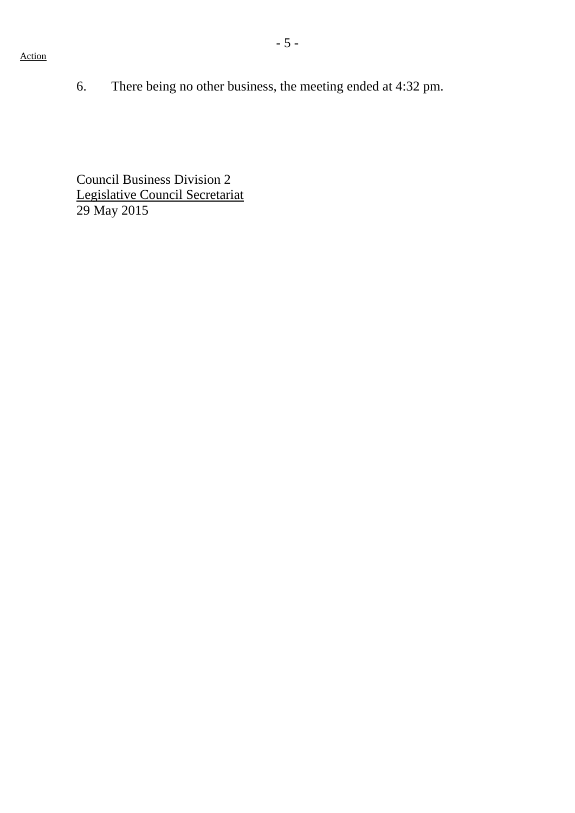6. There being no other business, the meeting ended at 4:32 pm.

Council Business Division 2 Legislative Council Secretariat 29 May 2015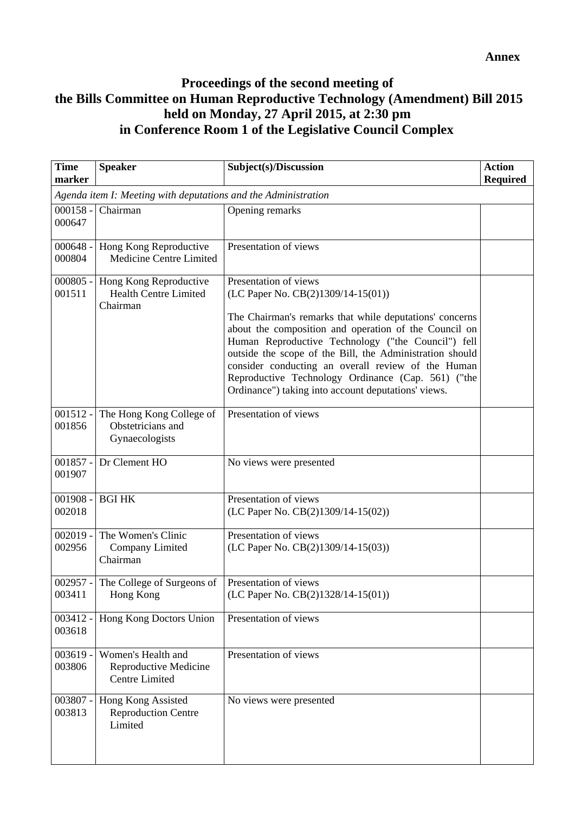# **Proceedings of the second meeting of the Bills Committee on Human Reproductive Technology (Amendment) Bill 2015 held on Monday, 27 April 2015, at 2:30 pm in Conference Room 1 of the Legislative Council Complex**

| <b>Time</b><br>marker                                          | <b>Speaker</b>                                                       | Subject(s)/Discussion                                                                                                                                                                                                                                                                                                                                                                                                                                                | <b>Action</b><br><b>Required</b> |  |  |
|----------------------------------------------------------------|----------------------------------------------------------------------|----------------------------------------------------------------------------------------------------------------------------------------------------------------------------------------------------------------------------------------------------------------------------------------------------------------------------------------------------------------------------------------------------------------------------------------------------------------------|----------------------------------|--|--|
| Agenda item I: Meeting with deputations and the Administration |                                                                      |                                                                                                                                                                                                                                                                                                                                                                                                                                                                      |                                  |  |  |
| $000158 -$<br>000647                                           | Chairman                                                             | Opening remarks                                                                                                                                                                                                                                                                                                                                                                                                                                                      |                                  |  |  |
| $000648 -$<br>000804                                           | Hong Kong Reproductive<br>Medicine Centre Limited                    | Presentation of views                                                                                                                                                                                                                                                                                                                                                                                                                                                |                                  |  |  |
| $000805 -$<br>001511                                           | Hong Kong Reproductive<br><b>Health Centre Limited</b><br>Chairman   | Presentation of views<br>(LC Paper No. CB(2)1309/14-15(01))<br>The Chairman's remarks that while deputations' concerns<br>about the composition and operation of the Council on<br>Human Reproductive Technology ("the Council") fell<br>outside the scope of the Bill, the Administration should<br>consider conducting an overall review of the Human<br>Reproductive Technology Ordinance (Cap. 561) ("the<br>Ordinance") taking into account deputations' views. |                                  |  |  |
| $001512 -$<br>001856                                           | The Hong Kong College of<br>Obstetricians and<br>Gynaecologists      | Presentation of views                                                                                                                                                                                                                                                                                                                                                                                                                                                |                                  |  |  |
| $001857 -$<br>001907                                           | Dr Clement HO                                                        | No views were presented                                                                                                                                                                                                                                                                                                                                                                                                                                              |                                  |  |  |
| $001908 -$<br>002018                                           | <b>BGI HK</b>                                                        | Presentation of views<br>(LC Paper No. CB(2)1309/14-15(02))                                                                                                                                                                                                                                                                                                                                                                                                          |                                  |  |  |
| $002019 -$<br>002956                                           | The Women's Clinic<br>Company Limited<br>Chairman                    | Presentation of views<br>(LC Paper No. CB(2)1309/14-15(03))                                                                                                                                                                                                                                                                                                                                                                                                          |                                  |  |  |
| $002957 -$<br>003411                                           | The College of Surgeons of<br>Hong Kong                              | Presentation of views<br>(LC Paper No. CB(2)1328/14-15(01))                                                                                                                                                                                                                                                                                                                                                                                                          |                                  |  |  |
| 003412 -<br>003618                                             | Hong Kong Doctors Union                                              | Presentation of views                                                                                                                                                                                                                                                                                                                                                                                                                                                |                                  |  |  |
| $003619 -$<br>003806                                           | Women's Health and<br>Reproductive Medicine<br><b>Centre Limited</b> | Presentation of views                                                                                                                                                                                                                                                                                                                                                                                                                                                |                                  |  |  |
| 003807 -<br>003813                                             | Hong Kong Assisted<br><b>Reproduction Centre</b><br>Limited          | No views were presented                                                                                                                                                                                                                                                                                                                                                                                                                                              |                                  |  |  |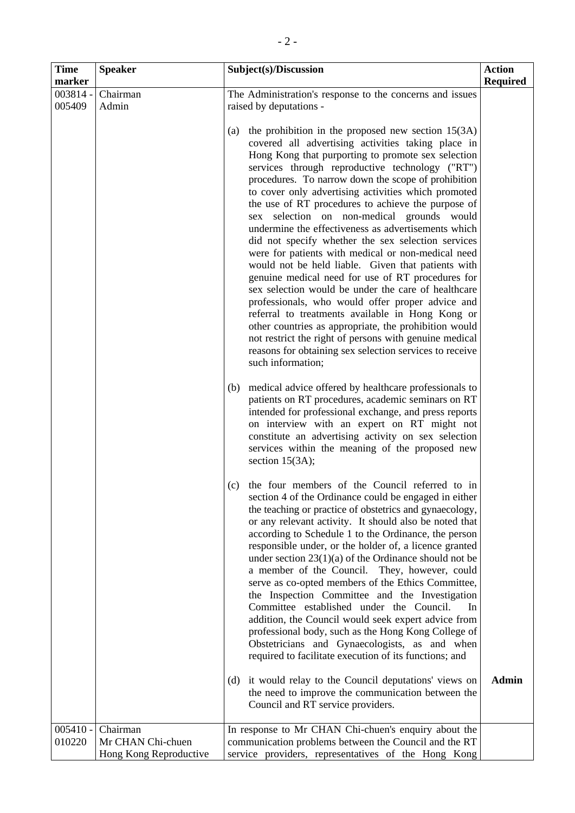| <b>Time</b><br>marker | <b>Speaker</b>                                          | Subject(s)/Discussion                                                                                                                                                                                                                                                                                                                                                                                                                                                                                                                                                                                                                                                                                                                                                                                                                                                                                                                                                                                                                                                                        | <b>Action</b><br><b>Required</b> |
|-----------------------|---------------------------------------------------------|----------------------------------------------------------------------------------------------------------------------------------------------------------------------------------------------------------------------------------------------------------------------------------------------------------------------------------------------------------------------------------------------------------------------------------------------------------------------------------------------------------------------------------------------------------------------------------------------------------------------------------------------------------------------------------------------------------------------------------------------------------------------------------------------------------------------------------------------------------------------------------------------------------------------------------------------------------------------------------------------------------------------------------------------------------------------------------------------|----------------------------------|
| 003814 -<br>005409    | Chairman<br>Admin                                       | The Administration's response to the concerns and issues<br>raised by deputations -                                                                                                                                                                                                                                                                                                                                                                                                                                                                                                                                                                                                                                                                                                                                                                                                                                                                                                                                                                                                          |                                  |
|                       |                                                         | the prohibition in the proposed new section $15(3A)$<br>(a)<br>covered all advertising activities taking place in<br>Hong Kong that purporting to promote sex selection<br>services through reproductive technology ("RT")<br>procedures. To narrow down the scope of prohibition<br>to cover only advertising activities which promoted<br>the use of RT procedures to achieve the purpose of<br>sex selection on non-medical grounds would<br>undermine the effectiveness as advertisements which<br>did not specify whether the sex selection services<br>were for patients with medical or non-medical need<br>would not be held liable. Given that patients with<br>genuine medical need for use of RT procedures for<br>sex selection would be under the care of healthcare<br>professionals, who would offer proper advice and<br>referral to treatments available in Hong Kong or<br>other countries as appropriate, the prohibition would<br>not restrict the right of persons with genuine medical<br>reasons for obtaining sex selection services to receive<br>such information; |                                  |
|                       |                                                         | medical advice offered by healthcare professionals to<br>(b)<br>patients on RT procedures, academic seminars on RT<br>intended for professional exchange, and press reports<br>on interview with an expert on RT might not<br>constitute an advertising activity on sex selection<br>services within the meaning of the proposed new<br>section $15(3A)$ ;                                                                                                                                                                                                                                                                                                                                                                                                                                                                                                                                                                                                                                                                                                                                   |                                  |
|                       |                                                         | the four members of the Council referred to in<br>(c)<br>section 4 of the Ordinance could be engaged in either<br>the teaching or practice of obstetrics and gynaecology,<br>or any relevant activity. It should also be noted that<br>according to Schedule 1 to the Ordinance, the person<br>responsible under, or the holder of, a licence granted<br>under section $23(1)(a)$ of the Ordinance should not be<br>a member of the Council. They, however, could<br>serve as co-opted members of the Ethics Committee,<br>the Inspection Committee and the Investigation<br>Committee established under the Council.<br>In<br>addition, the Council would seek expert advice from<br>professional body, such as the Hong Kong College of<br>Obstetricians and Gynaecologists, as and when<br>required to facilitate execution of its functions; and<br>(d) it would relay to the Council deputations' views on                                                                                                                                                                              | <b>Admin</b>                     |
|                       |                                                         | the need to improve the communication between the<br>Council and RT service providers.                                                                                                                                                                                                                                                                                                                                                                                                                                                                                                                                                                                                                                                                                                                                                                                                                                                                                                                                                                                                       |                                  |
| $005410 -$<br>010220  | Chairman<br>Mr CHAN Chi-chuen<br>Hong Kong Reproductive | In response to Mr CHAN Chi-chuen's enquiry about the<br>communication problems between the Council and the RT<br>service providers, representatives of the Hong Kong                                                                                                                                                                                                                                                                                                                                                                                                                                                                                                                                                                                                                                                                                                                                                                                                                                                                                                                         |                                  |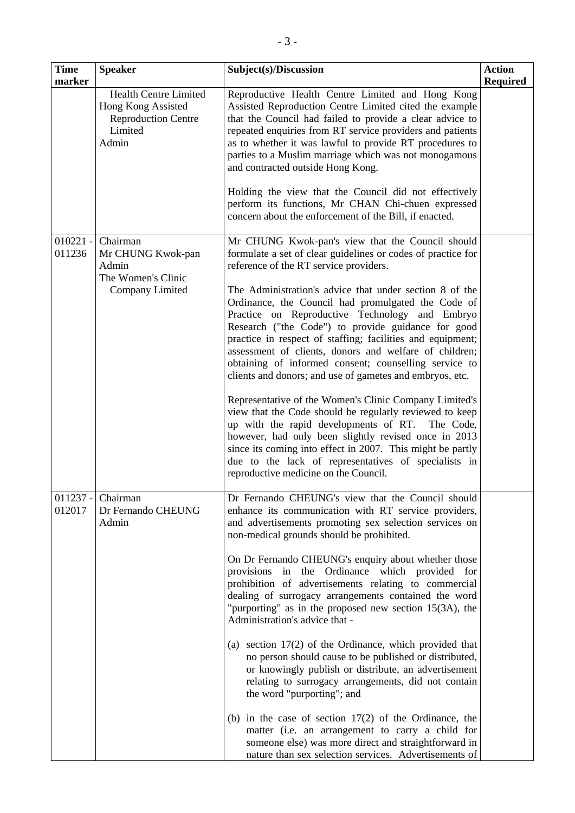| <b>Time</b><br>marker | <b>Speaker</b>                                                                                       | Subject(s)/Discussion                                                                                                                                                                                                                                                                                                                                                                                                                                                                                                                                                                                                                                                                                                                                                                                                                                                                                                                                                                                                                          | <b>Action</b><br><b>Required</b> |
|-----------------------|------------------------------------------------------------------------------------------------------|------------------------------------------------------------------------------------------------------------------------------------------------------------------------------------------------------------------------------------------------------------------------------------------------------------------------------------------------------------------------------------------------------------------------------------------------------------------------------------------------------------------------------------------------------------------------------------------------------------------------------------------------------------------------------------------------------------------------------------------------------------------------------------------------------------------------------------------------------------------------------------------------------------------------------------------------------------------------------------------------------------------------------------------------|----------------------------------|
|                       | <b>Health Centre Limited</b><br>Hong Kong Assisted<br><b>Reproduction Centre</b><br>Limited<br>Admin | Reproductive Health Centre Limited and Hong Kong<br>Assisted Reproduction Centre Limited cited the example<br>that the Council had failed to provide a clear advice to<br>repeated enquiries from RT service providers and patients<br>as to whether it was lawful to provide RT procedures to<br>parties to a Muslim marriage which was not monogamous<br>and contracted outside Hong Kong.<br>Holding the view that the Council did not effectively<br>perform its functions, Mr CHAN Chi-chuen expressed<br>concern about the enforcement of the Bill, if enacted.                                                                                                                                                                                                                                                                                                                                                                                                                                                                          |                                  |
| $010221 -$<br>011236  | Chairman<br>Mr CHUNG Kwok-pan<br>Admin<br>The Women's Clinic<br>Company Limited                      | Mr CHUNG Kwok-pan's view that the Council should<br>formulate a set of clear guidelines or codes of practice for<br>reference of the RT service providers.<br>The Administration's advice that under section 8 of the<br>Ordinance, the Council had promulgated the Code of<br>Practice on Reproductive Technology and Embryo<br>Research ("the Code") to provide guidance for good<br>practice in respect of staffing; facilities and equipment;<br>assessment of clients, donors and welfare of children;<br>obtaining of informed consent; counselling service to<br>clients and donors; and use of gametes and embryos, etc.<br>Representative of the Women's Clinic Company Limited's<br>view that the Code should be regularly reviewed to keep<br>up with the rapid developments of RT. The Code,<br>however, had only been slightly revised once in 2013<br>since its coming into effect in 2007. This might be partly<br>due to the lack of representatives of specialists in<br>reproductive medicine on the Council.                |                                  |
| $011237 -$<br>012017  | Chairman<br>Dr Fernando CHEUNG<br>Admin                                                              | Dr Fernando CHEUNG's view that the Council should<br>enhance its communication with RT service providers,<br>and advertisements promoting sex selection services on<br>non-medical grounds should be prohibited.<br>On Dr Fernando CHEUNG's enquiry about whether those<br>provisions in the Ordinance which provided for<br>prohibition of advertisements relating to commercial<br>dealing of surrogacy arrangements contained the word<br>"purporting" as in the proposed new section $15(3A)$ , the<br>Administration's advice that -<br>(a) section $17(2)$ of the Ordinance, which provided that<br>no person should cause to be published or distributed,<br>or knowingly publish or distribute, an advertisement<br>relating to surrogacy arrangements, did not contain<br>the word "purporting"; and<br>(b) in the case of section $17(2)$ of the Ordinance, the<br>matter (i.e. an arrangement to carry a child for<br>someone else) was more direct and straightforward in<br>nature than sex selection services. Advertisements of |                                  |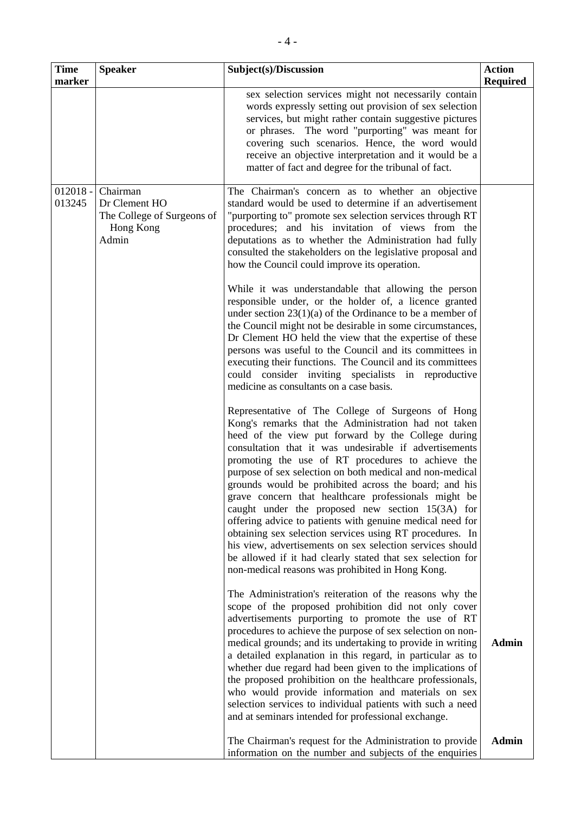| <b>Time</b><br>marker | <b>Speaker</b>                                                                | Subject(s)/Discussion                                                                                                                                                                                                                                                                                                                                                                                                                                                                                                                                                                                                                                                                                                                                                                                                   | <b>Action</b><br><b>Required</b> |
|-----------------------|-------------------------------------------------------------------------------|-------------------------------------------------------------------------------------------------------------------------------------------------------------------------------------------------------------------------------------------------------------------------------------------------------------------------------------------------------------------------------------------------------------------------------------------------------------------------------------------------------------------------------------------------------------------------------------------------------------------------------------------------------------------------------------------------------------------------------------------------------------------------------------------------------------------------|----------------------------------|
|                       |                                                                               | sex selection services might not necessarily contain<br>words expressly setting out provision of sex selection<br>services, but might rather contain suggestive pictures<br>or phrases. The word "purporting" was meant for<br>covering such scenarios. Hence, the word would<br>receive an objective interpretation and it would be a<br>matter of fact and degree for the tribunal of fact.                                                                                                                                                                                                                                                                                                                                                                                                                           |                                  |
| $012018 -$<br>013245  | Chairman<br>Dr Clement HO<br>The College of Surgeons of<br>Hong Kong<br>Admin | The Chairman's concern as to whether an objective<br>standard would be used to determine if an advertisement<br>"purporting to" promote sex selection services through RT<br>procedures; and his invitation of views from the<br>deputations as to whether the Administration had fully<br>consulted the stakeholders on the legislative proposal and<br>how the Council could improve its operation.                                                                                                                                                                                                                                                                                                                                                                                                                   |                                  |
|                       |                                                                               | While it was understandable that allowing the person<br>responsible under, or the holder of, a licence granted<br>under section $23(1)(a)$ of the Ordinance to be a member of<br>the Council might not be desirable in some circumstances,<br>Dr Clement HO held the view that the expertise of these<br>persons was useful to the Council and its committees in<br>executing their functions. The Council and its committees<br>could consider inviting specialists in reproductive<br>medicine as consultants on a case basis.                                                                                                                                                                                                                                                                                        |                                  |
|                       |                                                                               | Representative of The College of Surgeons of Hong<br>Kong's remarks that the Administration had not taken<br>heed of the view put forward by the College during<br>consultation that it was undesirable if advertisements<br>promoting the use of RT procedures to achieve the<br>purpose of sex selection on both medical and non-medical<br>grounds would be prohibited across the board; and his<br>grave concern that healthcare professionals might be<br>caught under the proposed new section 15(3A) for<br>offering advice to patients with genuine medical need for<br>obtaining sex selection services using RT procedures. In<br>his view, advertisements on sex selection services should<br>be allowed if it had clearly stated that sex selection for<br>non-medical reasons was prohibited in Hong Kong. |                                  |
|                       |                                                                               | The Administration's reiteration of the reasons why the<br>scope of the proposed prohibition did not only cover<br>advertisements purporting to promote the use of RT<br>procedures to achieve the purpose of sex selection on non-<br>medical grounds; and its undertaking to provide in writing<br>a detailed explanation in this regard, in particular as to<br>whether due regard had been given to the implications of<br>the proposed prohibition on the healthcare professionals,<br>who would provide information and materials on sex<br>selection services to individual patients with such a need<br>and at seminars intended for professional exchange.                                                                                                                                                     | <b>Admin</b>                     |
|                       |                                                                               | The Chairman's request for the Administration to provide<br>information on the number and subjects of the enquiries                                                                                                                                                                                                                                                                                                                                                                                                                                                                                                                                                                                                                                                                                                     | <b>Admin</b>                     |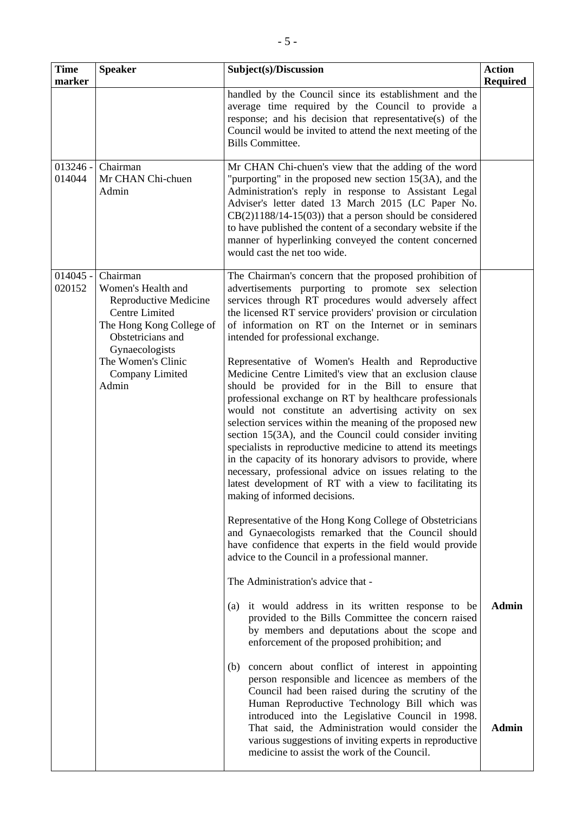| <b>Time</b><br>marker | <b>Speaker</b>                                                                                                                                                                                        | Subject(s)/Discussion                                                                                                                                                                                                                                                                                                                                                                                                                                                                                                                                                                                                                                                                                                                                                                                                                                                                                                                                                                                                                                                                                                                                                                                                                                                                                                                                                                                                                                                                                                                                                                                                                                                                                                                                                                                                                                                                                                                                                                  | <b>Action</b><br><b>Required</b> |
|-----------------------|-------------------------------------------------------------------------------------------------------------------------------------------------------------------------------------------------------|----------------------------------------------------------------------------------------------------------------------------------------------------------------------------------------------------------------------------------------------------------------------------------------------------------------------------------------------------------------------------------------------------------------------------------------------------------------------------------------------------------------------------------------------------------------------------------------------------------------------------------------------------------------------------------------------------------------------------------------------------------------------------------------------------------------------------------------------------------------------------------------------------------------------------------------------------------------------------------------------------------------------------------------------------------------------------------------------------------------------------------------------------------------------------------------------------------------------------------------------------------------------------------------------------------------------------------------------------------------------------------------------------------------------------------------------------------------------------------------------------------------------------------------------------------------------------------------------------------------------------------------------------------------------------------------------------------------------------------------------------------------------------------------------------------------------------------------------------------------------------------------------------------------------------------------------------------------------------------------|----------------------------------|
|                       |                                                                                                                                                                                                       | handled by the Council since its establishment and the<br>average time required by the Council to provide a<br>response; and his decision that representative(s) of the<br>Council would be invited to attend the next meeting of the<br><b>Bills Committee.</b>                                                                                                                                                                                                                                                                                                                                                                                                                                                                                                                                                                                                                                                                                                                                                                                                                                                                                                                                                                                                                                                                                                                                                                                                                                                                                                                                                                                                                                                                                                                                                                                                                                                                                                                       |                                  |
| $013246 -$<br>014044  | Chairman<br>Mr CHAN Chi-chuen<br>Admin                                                                                                                                                                | Mr CHAN Chi-chuen's view that the adding of the word<br>"purporting" in the proposed new section $15(3A)$ , and the<br>Administration's reply in response to Assistant Legal<br>Adviser's letter dated 13 March 2015 (LC Paper No.<br>$CB(2)1188/14-15(03))$ that a person should be considered<br>to have published the content of a secondary website if the<br>manner of hyperlinking conveyed the content concerned<br>would cast the net too wide.                                                                                                                                                                                                                                                                                                                                                                                                                                                                                                                                                                                                                                                                                                                                                                                                                                                                                                                                                                                                                                                                                                                                                                                                                                                                                                                                                                                                                                                                                                                                |                                  |
| $014045 -$<br>020152  | Chairman<br>Women's Health and<br>Reproductive Medicine<br><b>Centre Limited</b><br>The Hong Kong College of<br>Obstetricians and<br>Gynaecologists<br>The Women's Clinic<br>Company Limited<br>Admin | The Chairman's concern that the proposed prohibition of<br>advertisements purporting to promote sex selection<br>services through RT procedures would adversely affect<br>the licensed RT service providers' provision or circulation<br>of information on RT on the Internet or in seminars<br>intended for professional exchange.<br>Representative of Women's Health and Reproductive<br>Medicine Centre Limited's view that an exclusion clause<br>should be provided for in the Bill to ensure that<br>professional exchange on RT by healthcare professionals<br>would not constitute an advertising activity on sex<br>selection services within the meaning of the proposed new<br>section 15(3A), and the Council could consider inviting<br>specialists in reproductive medicine to attend its meetings<br>in the capacity of its honorary advisors to provide, where<br>necessary, professional advice on issues relating to the<br>latest development of RT with a view to facilitating its<br>making of informed decisions.<br>Representative of the Hong Kong College of Obstetricians<br>and Gynaecologists remarked that the Council should<br>have confidence that experts in the field would provide<br>advice to the Council in a professional manner.<br>The Administration's advice that -<br>it would address in its written response to be<br>$\left( a\right)$<br>provided to the Bills Committee the concern raised<br>by members and deputations about the scope and<br>enforcement of the proposed prohibition; and<br>concern about conflict of interest in appointing<br>(b)<br>person responsible and licencee as members of the<br>Council had been raised during the scrutiny of the<br>Human Reproductive Technology Bill which was<br>introduced into the Legislative Council in 1998.<br>That said, the Administration would consider the<br>various suggestions of inviting experts in reproductive<br>medicine to assist the work of the Council. | <b>Admin</b><br><b>Admin</b>     |